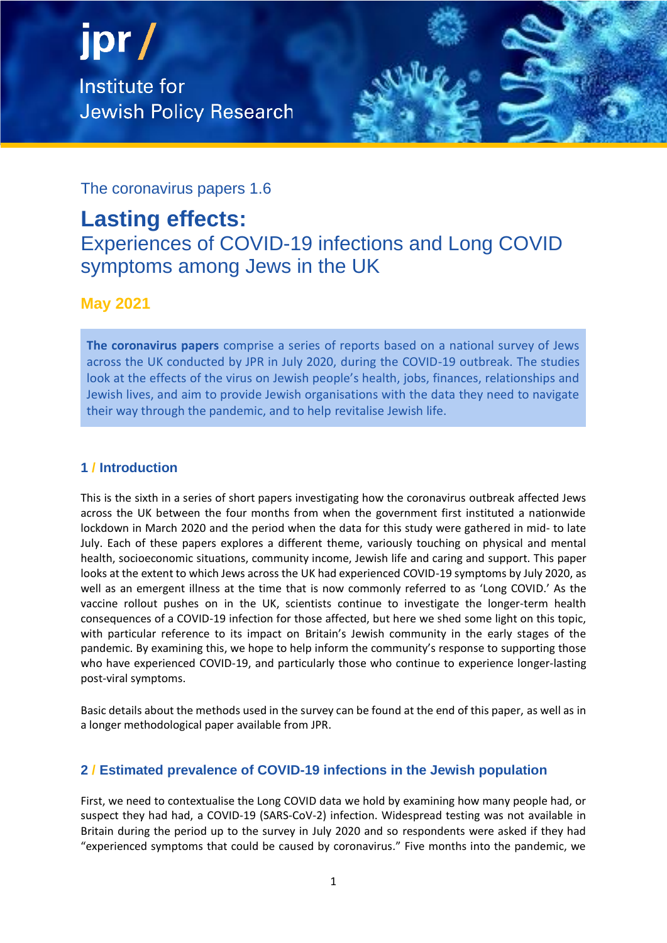jpr/ **Institute for Jewish Policy Research** 



The coronavirus papers 1.6

# **Lasting effects:**

Experiences of COVID-19 infections and Long COVID symptoms among Jews in the UK

# **May 2021**

**The coronavirus papers** comprise a series of reports based on a national survey of Jews across the UK conducted by JPR in July 2020, during the COVID-19 outbreak. The studies look at the effects of the virus on Jewish people's health, jobs, finances, relationships and Jewish lives, and aim to provide Jewish organisations with the data they need to navigate their way through the pandemic, and to help revitalise Jewish life.

# **1 / Introduction**

This is the sixth in a series of short papers investigating how the coronavirus outbreak affected Jews across the UK between the four months from when the government first instituted a nationwide lockdown in March 2020 and the period when the data for this study were gathered in mid- to late July. Each of these papers explores a different theme, variously touching on physical and mental health, socioeconomic situations, community income, Jewish life and caring and support. This paper looks at the extent to which Jews across the UK had experienced COVID-19 symptoms by July 2020, as well as an emergent illness at the time that is now commonly referred to as 'Long COVID.' As the vaccine rollout pushes on in the UK, scientists continue to investigate the longer-term health consequences of a COVID-19 infection for those affected, but here we shed some light on this topic, with particular reference to its impact on Britain's Jewish community in the early stages of the pandemic. By examining this, we hope to help inform the community's response to supporting those who have experienced COVID-19, and particularly those who continue to experience longer-lasting post-viral symptoms.

Basic details about the methods used in the survey can be found at the end of this paper, as well as in a longer methodological paper available from JPR.

# **2 / Estimated prevalence of COVID-19 infections in the Jewish population**

First, we need to contextualise the Long COVID data we hold by examining how many people had, or suspect they had had, a COVID-19 (SARS-CoV-2) infection. Widespread testing was not available in Britain during the period up to the survey in July 2020 and so respondents were asked if they had "experienced symptoms that could be caused by coronavirus." Five months into the pandemic, we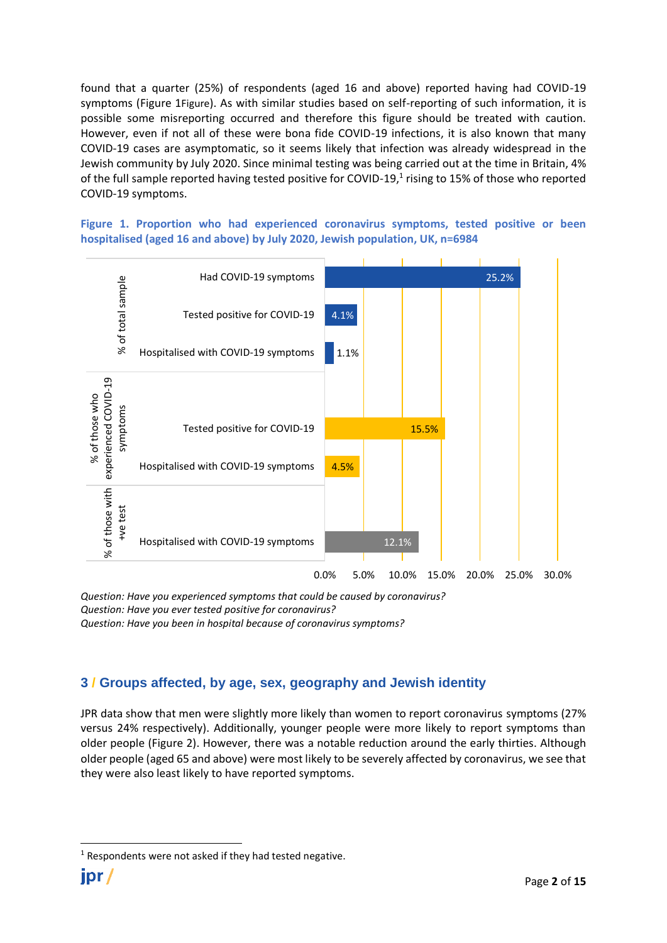found that a quarter (25%) of respondents (aged 16 and above) reported having had COVID-19 symptoms (Figure 1[Figure](#page-1-0)). As with similar studies based on self-reporting of such information, it is possible some misreporting occurred and therefore this figure should be treated with caution. However, even if not all of these were bona fide COVID-19 infections, it is also known that many COVID-19 cases are asymptomatic, so it seems likely that infection was already widespread in the Jewish community by July 2020. Since minimal testing was being carried out at the time in Britain, 4% of the full sample reported having tested positive for COVID-19,<sup>1</sup> rising to 15% of those who reported COVID-19 symptoms.

<span id="page-1-0"></span>**Figure 1. Proportion who had experienced coronavirus symptoms, tested positive or been hospitalised (aged 16 and above) by July 2020, Jewish population, UK, n=6984**



*Question: Have you experienced symptoms that could be caused by coronavirus? Question: Have you ever tested positive for coronavirus? Question: Have you been in hospital because of coronavirus symptoms?*

## **3 / Groups affected, by age, sex, geography and Jewish identity**

JPR data show that men were slightly more likely than women to report coronavirus symptoms (27% versus 24% respectively). Additionally, younger people were more likely to report symptoms than older people (Figure 2). However, there was a notable reduction around the early thirties. Although older people (aged 65 and above) were most likely to be severely affected by coronavirus, we see that they were also least likely to have reported symptoms.

 $1$  Respondents were not asked if they had tested negative.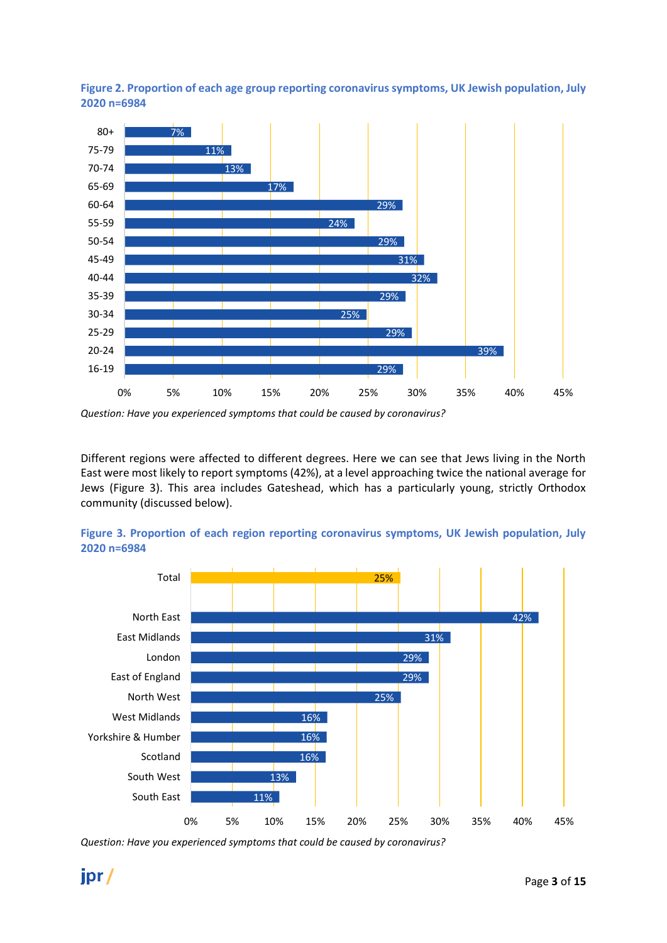



Different regions were affected to different degrees. Here we can see that Jews living in the North East were most likely to report symptoms (42%), at a level approaching twice the national average for Jews (Figure 3). This area includes Gateshead, which has a particularly young, strictly Orthodox community (discussed below).





*Question: Have you experienced symptoms that could be caused by coronavirus?*

*Question: Have you experienced symptoms that could be caused by coronavirus?*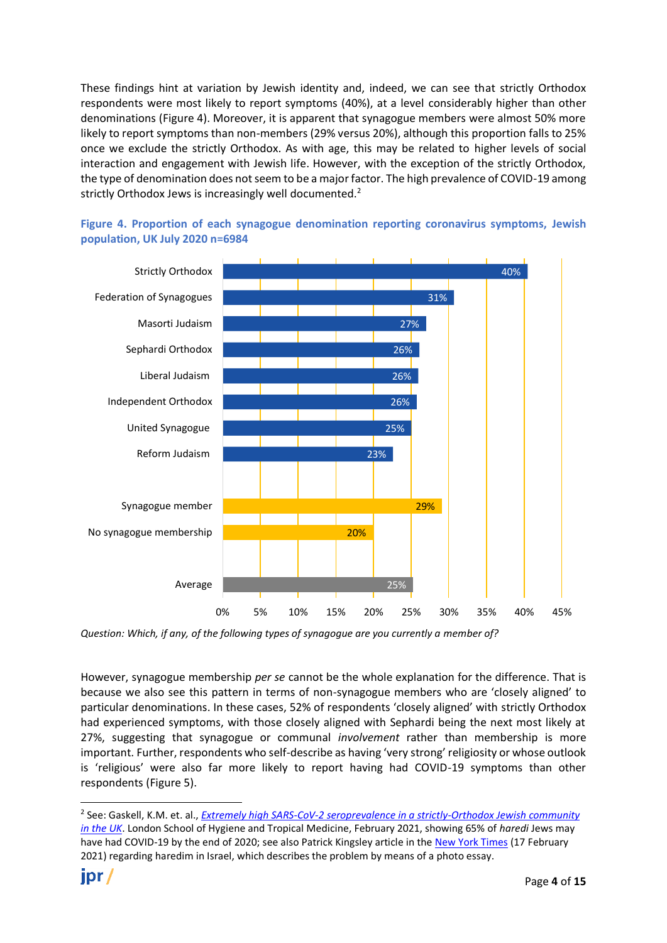These findings hint at variation by Jewish identity and, indeed, we can see that strictly Orthodox respondents were most likely to report symptoms (40%), at a level considerably higher than other denominations (Figure 4). Moreover, it is apparent that synagogue members were almost 50% more likely to report symptoms than non-members (29% versus 20%), although this proportion falls to 25% once we exclude the strictly Orthodox. As with age, this may be related to higher levels of social interaction and engagement with Jewish life. However, with the exception of the strictly Orthodox, the type of denomination does not seem to be a major factor. The high prevalence of COVID-19 among strictly Orthodox Jews is increasingly well documented.<sup>2</sup>





However, synagogue membership *per se* cannot be the whole explanation for the difference. That is because we also see this pattern in terms of non-synagogue members who are 'closely aligned' to particular denominations. In these cases, 52% of respondents 'closely aligned' with strictly Orthodox had experienced symptoms, with those closely aligned with Sephardi being the next most likely at 27%, suggesting that synagogue or communal *involvement* rather than membership is more important. Further, respondents who self-describe as having 'very strong' religiosity or whose outlook is 'religious' were also far more likely to report having had COVID-19 symptoms than other respondents (Figure 5).

*Question: Which, if any, of the following types of synagogue are you currently a member of?*

<sup>2</sup> See: Gaskell, K.M. et. al., *[Extremely high SARS-CoV-2 seroprevalence in a strictly-Orthodox Jewish](https://datacompass.lshtm.ac.uk/id/eprint/2084/1/Preprint_UK_Jewish_SARS-CoV-2.pdf) community [in the UK](https://datacompass.lshtm.ac.uk/id/eprint/2084/1/Preprint_UK_Jewish_SARS-CoV-2.pdf)*. London School of Hygiene and Tropical Medicine, February 2021, showing 65% of *haredi* Jews may have had COVID-19 by the end of 2020; see also Patrick Kingsley article in the [New York Times](https://www.nytimes.com/interactive/2021/02/17/world/middleeast/israel-orthodox-jews-haredim.html?action=click&module=Top%20Stories&pgtype=Homepage) (17 February 2021) regarding haredim in Israel, which describes the problem by means of a photo essay.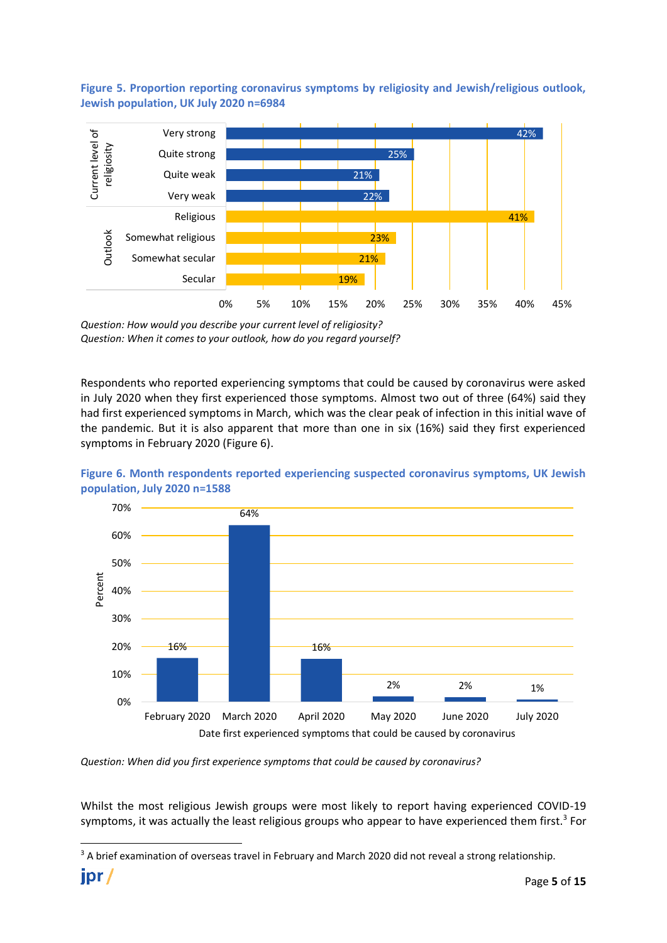**Figure 5. Proportion reporting coronavirus symptoms by religiosity and Jewish/religious outlook, Jewish population, UK July 2020 n=6984**



*Question: How would you describe your current level of religiosity? Question: When it comes to your outlook, how do you regard yourself?*

Respondents who reported experiencing symptoms that could be caused by coronavirus were asked in July 2020 when they first experienced those symptoms. Almost two out of three (64%) said they had first experienced symptoms in March, which was the clear peak of infection in this initial wave of the pandemic. But it is also apparent that more than one in six (16%) said they first experienced symptoms in February 2020 (Figure 6).

<span id="page-4-0"></span>



*Question: When did you first experience symptoms that could be caused by coronavirus?*

Whilst the most religious Jewish groups were most likely to report having experienced COVID-19 symptoms, it was actually the least religious groups who appear to have experienced them first.<sup>3</sup> For

<sup>&</sup>lt;sup>3</sup> A brief examination of overseas travel in February and March 2020 did not reveal a strong relationship.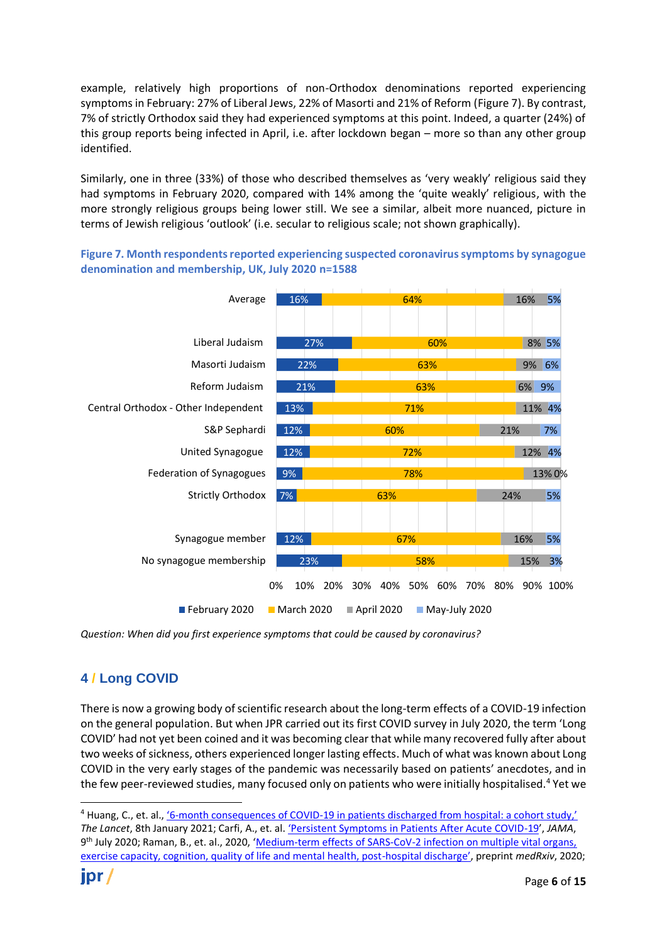example, relatively high proportions of non-Orthodox denominations reported experiencing symptoms in February: 27% of Liberal Jews, 22% of Masorti and 21% of Reform (Figure 7). By contrast, 7% of strictly Orthodox said they had experienced symptoms at this point. Indeed, a quarter (24%) of this group reports being infected in April, i.e. after lockdown began – more so than any other group identified.

Similarly, one in three (33%) of those who described themselves as 'very weakly' religious said they had symptoms in February 2020, compared with 14% among the 'quite weakly' religious, with the more strongly religious groups being lower still. We see a similar, albeit more nuanced, picture in terms of Jewish religious 'outlook' (i.e. secular to religious scale; not shown graphically).

**Figure 7. Month respondents reported experiencing suspected coronavirus symptoms by synagogue denomination and membership, UK, July 2020 n=1588**



*Question: When did you first experience symptoms that could be caused by coronavirus?*

## **4 / Long COVID**

There is now a growing body of scientific research about the long-term effects of a COVID-19 infection on the general population. But when JPR carried out its first COVID survey in July 2020, the term 'Long COVID' had not yet been coined and it was becoming clear that while many recovered fully after about two weeks of sickness, others experienced longer lasting effects. Much of what was known about Long COVID in the very early stages of the pandemic was necessarily based on patients' anecdotes, and in the few peer-reviewed studies, many focused only on patients who were initially hospitalised.<sup>4</sup> Yet we

<sup>&</sup>lt;sup>4</sup> Huang, C., et. al., '6-month consequences of COVID-[19 in patients discharged from hospital: a cohort study,'](https://www.thelancet.com/journals/lancet/article/PIIS0140-6736(20)32656-8/fulltext) *The Lancet*, 8th January 2021; Carfi, A., et. al. 'P[ersistent Symptoms in Patients After Acute COVID-19](https://jamanetwork.com/journals/jama/fullarticle/2768351/)', *JAMA*, 9<sup>th</sup> July 2020; Raman, B., et. al., 2020, 'Medium-term effects of SARS-CoV-2 infection on multiple vital organs, [exercise capacity, cognition, quality of life and mental health, post-](https://www.medrxiv.org/content/10.1101/2020.10.15.20205054v1)hospital discharge', preprint *medRxiv*, 2020;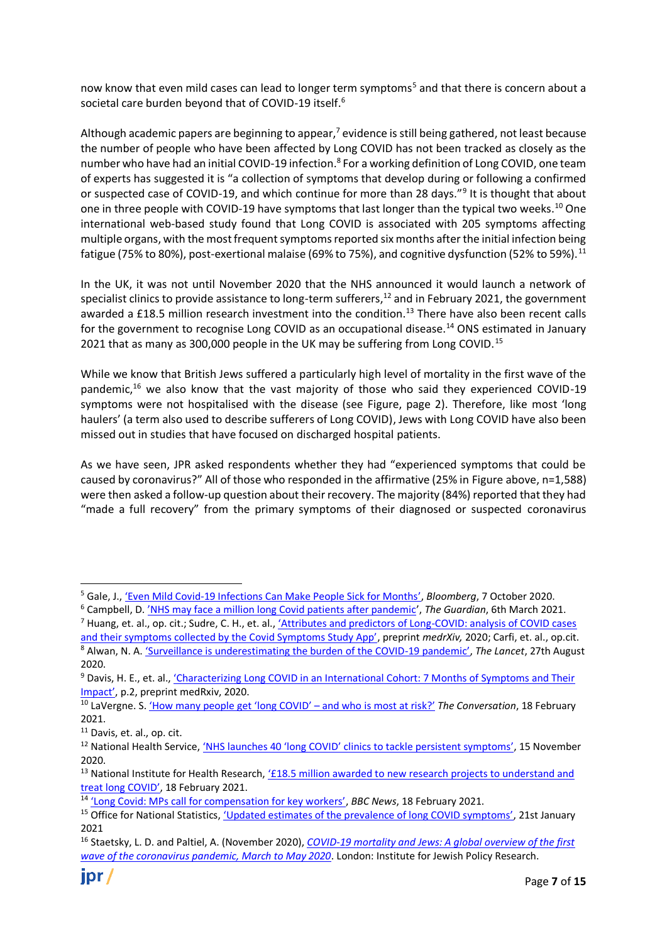now know that even mild cases can lead to longer term symptoms<sup>5</sup> and that there is concern about a societal care burden beyond that of COVID-19 itself.<sup>6</sup>

Although academic papers are beginning to appear, $7$  evidence is still being gathered, not least because the number of people who have been affected by Long COVID has not been tracked as closely as the number who have had an initial COVID-19 infection.<sup>8</sup> For a working definition of Long COVID, one team of experts has suggested it is "a collection of symptoms that develop during or following a confirmed or suspected case of COVID-19, and which continue for more than 28 days."<sup>9</sup> It is thought that about one in three people with COVID-19 have symptoms that last longer than the typical two weeks.<sup>10</sup> One international web-based study found that Long COVID is associated with 205 symptoms affecting multiple organs, with the most frequent symptoms reported six months after the initial infection being fatigue (75% to 80%), post-exertional malaise (69% to 75%), and cognitive dysfunction (52% to 59%).<sup>11</sup>

In the UK, it was not until November 2020 that the NHS announced it would launch a network of specialist clinics to provide assistance to long-term sufferers,<sup>12</sup> and in February 2021, the government awarded a £18.5 million research investment into the condition.<sup>13</sup> There have also been recent calls for the government to recognise Long COVID as an occupational disease.<sup>14</sup> ONS estimated in January 2021 that as many as 300,000 people in the UK may be suffering from Long COVID.<sup>15</sup>

While we know that British Jews suffered a particularly high level of mortality in the first wave of the pandemic,<sup>16</sup> we also know that the vast majority of those who said they experienced COVID-19 symptoms were not hospitalised with the disease (see [Figure,](#page-1-0) page [2\)](#page-1-0). Therefore, like most 'long haulers' (a term also used to describe sufferers of Long COVID), Jews with Long COVID have also been missed out in studies that have focused on discharged hospital patients.

As we have seen, JPR asked respondents whether they had "experienced symptoms that could be caused by coronavirus?" All of those who responded in the affirmative (25% in [Figure](#page-1-0) above, n=1,588) were then asked a follow-up question about their recovery. The majority (84%) reported that they had "made a full recovery" from the primary symptoms of their diagnosed or suspected coronavirus

[and their symptoms collected by the Covid Symptoms Study App'](https://www.medrxiv.org/content/10.1101/2020.10.19.20214494v2), preprint *medrXiv,* 2020; Carfi, et. al., op.cit. <sup>8</sup> Alwan, N. A. ['Surveillance is underestimating the burden of the COVID](https://www.thelancet.com/journals/lancet/article/PIIS0140-6736(20)31823-7/fulltext)-19 pandemic', *The Lancet*, 27th August 2020.

<sup>5</sup> Gale, J., 'Even [Mild Covid-19 Infections Can Make People Sick for Months](https://www.bloomberg.com/news/articles/2020-10-07/even-mildest-covid-risks-leaving-lingering-symptoms-months-later)', *Bloomberg*, 7 October 2020.

<sup>6</sup> Campbell, D. 'N[HS may face a million long Covid patients after pandemic](https://www.theguardian.com/society/2021/mar/05/nhs-long-covid-patients-after-pandemic)', *The Guardian*, 6th March 2021.

<sup>7</sup> Huang, et. al., op. cit.; Sudre, C. H., et. al., ['Attributes and predictors of Long](https://www.medrxiv.org/content/10.1101/2020.10.19.20214494v2)-COVID: analysis of COVID cases

<sup>&</sup>lt;sup>9</sup> Davis, H. E., et. al., 'Characterizing Long COVID in an International Cohort: 7 Months of Symptoms and Their [Impact'](https://www.medrxiv.org/content/10.1101/2020.12.24.20248802v2), p.2, preprint medRxiv, 2020.

<sup>10</sup> LaVergne. S. ['How many people get 'long COVID' –](https://theconversation.com/how-many-people-get-long-covid-and-who-is-most-at-risk-154331) and who is most at risk?' *The Conversation*, 18 February 2021.

<sup>&</sup>lt;sup>11</sup> Davis, et. al., op. cit.

<sup>&</sup>lt;sup>12</sup> National Health Service, ['NHS launches 40 'long COVID' clinics to tackle persistent symptoms'](https://www.england.nhs.uk/2020/11/nhs-launches-40-long-covid-clinics-to-tackle-persistent-symptoms/), 15 November 2020.

<sup>&</sup>lt;sup>13</sup> National Institute for Health Research, '*£18.5* million awarded to new research projects to understand and [treat long COVID'](https://www.nihr.ac.uk/news/185-million-awarded-to-new-research-projects-to-understand-and-treat-long-covid/26895?pr=), 18 February 2021.

<sup>14</sup> ['Long Covid: MPs call for compensation for key workers'](https://www.nihr.ac.uk/news/185-million-awarded-to-new-research-projects-to-understand-and-treat-long-covid/26895?pr=), *BBC News*, 18 February 2021.

<sup>&</sup>lt;sup>15</sup> Office for National Statistics, ['Updated estimates of the prevalence of long COVID symptoms'](https://www.ons.gov.uk/peoplepopulationandcommunity/healthandsocialcare/healthandlifeexpectancies/adhocs/12788updatedestimatesoftheprevalenceoflongcovidsymptoms), 21st January 2021

<sup>16</sup> Staetsky, L. D. and Paltiel, A. (November 2020), *[COVID-19 mortality and Jews: A global overview of the first](https://jpr.org.uk/publication?id=17693)  [wave of the coronavirus pandemic, March to May 2020](https://jpr.org.uk/publication?id=17693)*. London: Institute for Jewish Policy Research.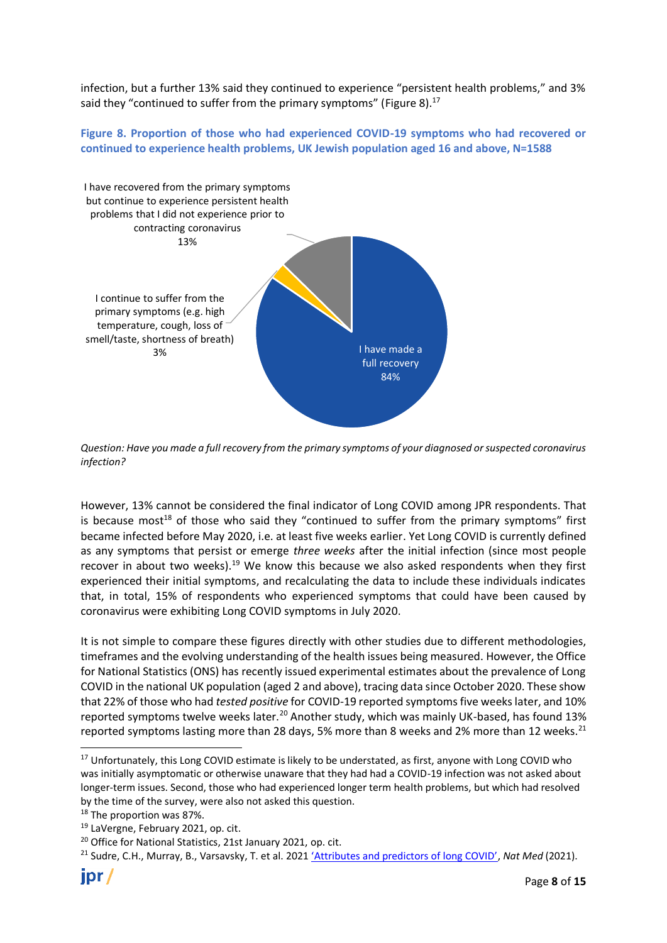infection, but a further 13% said they continued to experience "persistent health problems," and 3% said they "continued to suffer from the primary symptoms" (Figure 8). $^{17}$ 

**Figure 8. Proportion of those who had experienced COVID-19 symptoms who had recovered or continued to experience health problems, UK Jewish population aged 16 and above, N=1588**



*Question: Have you made a full recovery from the primary symptoms of your diagnosed or suspected coronavirus infection?*

However, 13% cannot be considered the final indicator of Long COVID among JPR respondents. That is because most<sup>18</sup> of those who said they "continued to suffer from the primary symptoms" first became infected before May 2020, i.e. at least five weeks earlier. Yet Long COVID is currently defined as any symptoms that persist or emerge *three weeks* after the initial infection (since most people recover in about two weeks).<sup>19</sup> We know this because we also asked respondents when they first experienced their initial symptoms, and recalculating the data to include these individuals indicates that, in total, 15% of respondents who experienced symptoms that could have been caused by coronavirus were exhibiting Long COVID symptoms in July 2020.

It is not simple to compare these figures directly with other studies due to different methodologies, timeframes and the evolving understanding of the health issues being measured. However, the Office for National Statistics (ONS) has recently issued experimental estimates about the prevalence of Long COVID in the national UK population (aged 2 and above), tracing data since October 2020. These show that 22% of those who had *tested positive* for COVID-19 reported symptoms five weeks later, and 10% reported symptoms twelve weeks later.<sup>20</sup> Another study, which was mainly UK-based, has found 13% reported symptoms lasting more than 28 days, 5% more than 8 weeks and 2% more than 12 weeks.<sup>21</sup>

<sup>&</sup>lt;sup>17</sup> Unfortunately, this Long COVID estimate is likely to be understated, as first, anyone with Long COVID who was initially asymptomatic or otherwise unaware that they had had a COVID-19 infection was not asked about longer-term issues. Second, those who had experienced longer term health problems, but which had resolved by the time of the survey, were also not asked this question.

<sup>&</sup>lt;sup>18</sup> The proportion was 87%.

<sup>19</sup> LaVergne, February 2021, op. cit.

<sup>&</sup>lt;sup>20</sup> Office for National Statistics, 21st January 2021, op. cit.

<sup>&</sup>lt;sup>21</sup> Sudre, C.H., Murray, B., Varsavsky, T. et al. 2021 ['Attributes and predictors of long COVID'](https://www.nature.com/articles/s41591-021-01292-y#citeas), Nat Med (2021).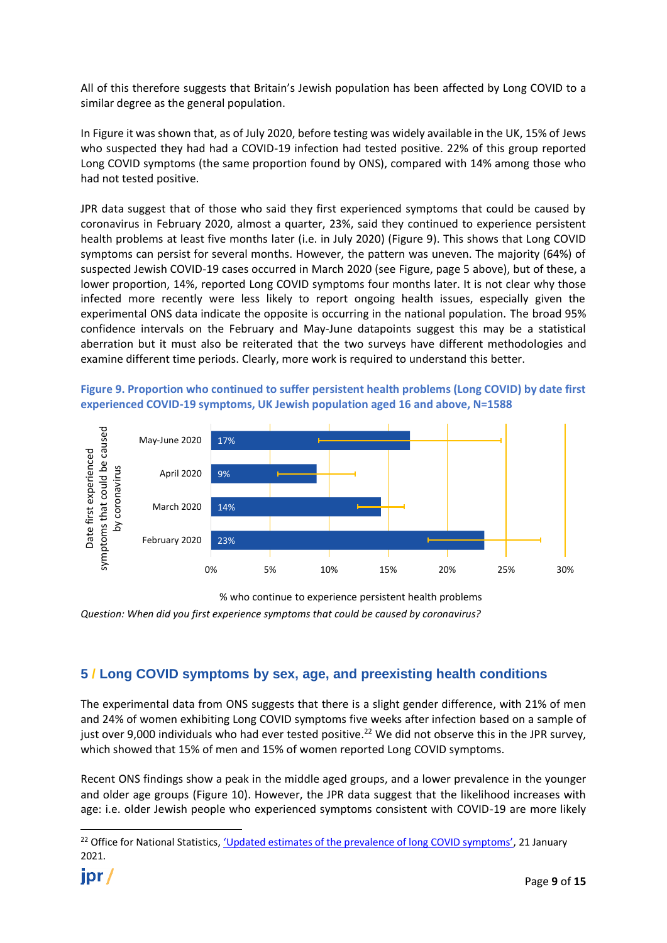All of this therefore suggests that Britain's Jewish population has been affected by Long COVID to a similar degree as the general population.

In [Figure](#page-1-0) it was shown that, as of July 2020, before testing was widely available in the UK, 15% of Jews who suspected they had had a COVID-19 infection had tested positive. 22% of this group reported Long COVID symptoms (the same proportion found by ONS), compared with 14% among those who had not tested positive.

JPR data suggest that of those who said they first experienced symptoms that could be caused by coronavirus in February 2020, almost a quarter, 23%, said they continued to experience persistent health problems at least five months later (i.e. in July 2020) (Figure 9). This shows that Long COVID symptoms can persist for several months. However, the pattern was uneven. The majority (64%) of suspected Jewish COVID-19 cases occurred in March 2020 (see [Figure,](#page-4-0) page 5 above), but of these, a lower proportion, 14%, reported Long COVID symptoms four months later. It is not clear why those infected more recently were less likely to report ongoing health issues, especially given the experimental ONS data indicate the opposite is occurring in the national population. The broad 95% confidence intervals on the February and May-June datapoints suggest this may be a statistical aberration but it must also be reiterated that the two surveys have different methodologies and examine different time periods. Clearly, more work is required to understand this better.





*Question: When did you first experience symptoms that could be caused by coronavirus?* % who continue to experience persistent health problems

## **5 / Long COVID symptoms by sex, age, and preexisting health conditions**

The experimental data from ONS suggests that there is a slight gender difference, with 21% of men and 24% of women exhibiting Long COVID symptoms five weeks after infection based on a sample of just over 9,000 individuals who had ever tested positive.<sup>22</sup> We did not observe this in the JPR survey, which showed that 15% of men and 15% of women reported Long COVID symptoms.

Recent ONS findings show a peak in the middle aged groups, and a lower prevalence in the younger and older age groups (Figure 10). However, the JPR data suggest that the likelihood increases with age: i.e. older Jewish people who experienced symptoms consistent with COVID-19 are more likely

<sup>&</sup>lt;sup>22</sup> Office for National Statistics, ['Updated estimates of the prevalence of long COVID symptoms'](https://www.ons.gov.uk/peoplepopulationandcommunity/healthandsocialcare/healthandlifeexpectancies/adhocs/12788updatedestimatesoftheprevalenceoflongcovidsymptoms), 21 January 2021.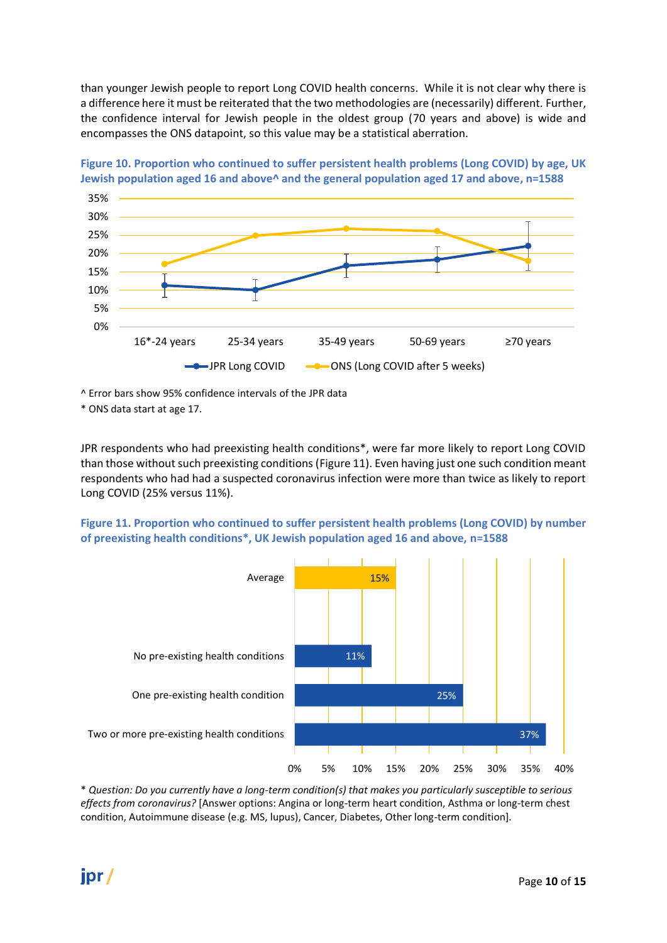than younger Jewish people to report Long COVID health concerns. While it is not clear why there is a difference here it must be reiterated that the two methodologies are (necessarily) different. Further, the confidence interval for Jewish people in the oldest group (70 years and above) is wide and encompasses the ONS datapoint, so this value may be a statistical aberration.





^ Error bars show 95% confidence intervals of the JPR data

\* ONS data start at age 17.

JPR respondents who had preexisting health conditions\*, were far more likely to report Long COVID than those without such preexisting conditions (Figure 11). Even having just one such condition meant respondents who had had a suspected coronavirus infection were more than twice as likely to report Long COVID (25% versus 11%).

#### **Figure 11. Proportion who continued to suffer persistent health problems (Long COVID) by number of preexisting health conditions\*, UK Jewish population aged 16 and above, n=1588**



\* *Question: Do you currently have a long-term condition(s) that makes you particularly susceptible to serious effects from coronavirus?* [Answer options: Angina or long-term heart condition, Asthma or long-term chest condition, Autoimmune disease (e.g. MS, lupus), Cancer, Diabetes, Other long-term condition].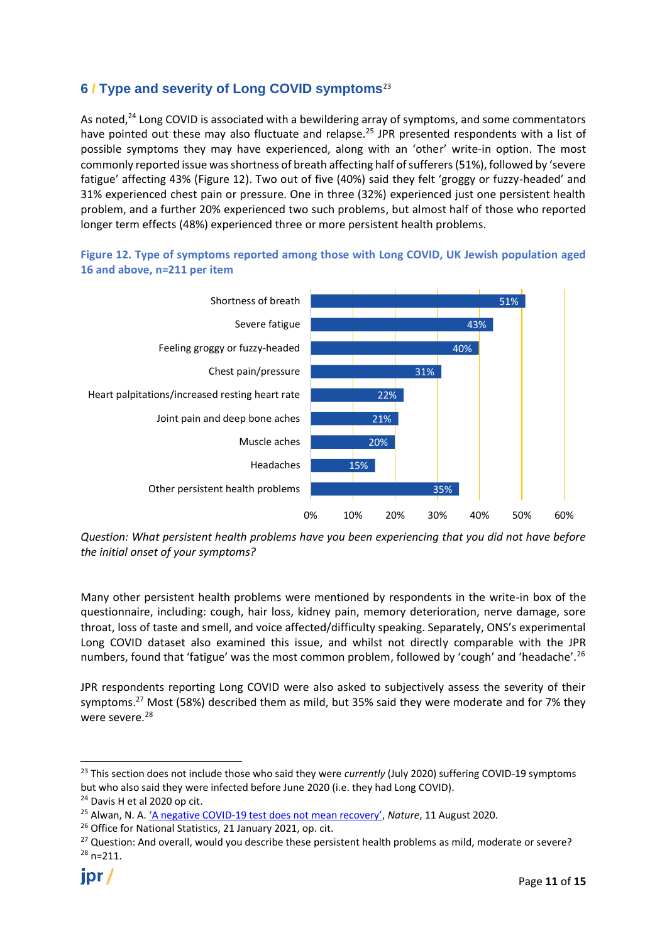# **6 / Type and severity of Long COVID symptoms**<sup>23</sup>

As noted,<sup>24</sup> Long COVID is associated with a bewildering array of symptoms, and some commentators have pointed out these may also fluctuate and relapse.<sup>25</sup> JPR presented respondents with a list of possible symptoms they may have experienced, along with an 'other' write-in option. The most commonly reported issue was shortness of breath affecting half of sufferers (51%), followed by 'severe fatigue' affecting 43% (Figure 12). Two out of five (40%) said they felt 'groggy or fuzzy-headed' and 31% experienced chest pain or pressure. One in three (32%) experienced just one persistent health problem, and a further 20% experienced two such problems, but almost half of those who reported longer term effects (48%) experienced three or more persistent health problems.

**Figure 12. Type of symptoms reported among those with Long COVID, UK Jewish population aged 16 and above, n=211 per item**



*Question: What persistent health problems have you been experiencing that you did not have before the initial onset of your symptoms?*

Many other persistent health problems were mentioned by respondents in the write-in box of the questionnaire, including: cough, hair loss, kidney pain, memory deterioration, nerve damage, sore throat, loss of taste and smell, and voice affected/difficulty speaking. Separately, ONS's experimental Long COVID dataset also examined this issue, and whilst not directly comparable with the JPR numbers, found that 'fatigue' was the most common problem, followed by 'cough' and 'headache'.<sup>26</sup>

JPR respondents reporting Long COVID were also asked to subjectively assess the severity of their symptoms.<sup>27</sup> Most (58%) described them as mild, but 35% said they were moderate and for 7% they were severe.<sup>28</sup>

<sup>23</sup> This section does not include those who said they were *currently* (July 2020) suffering COVID-19 symptoms but who also said they were infected before June 2020 (i.e. they had Long COVID).

<sup>24</sup> Davis H et al 2020 op cit.

<sup>25</sup> Alwan, N. A. 'A negative COVID-[19 test does not mean recovery'](https://www.nature.com/articles/d41586-020-02335-z), *Nature*, 11 August 2020.

<sup>&</sup>lt;sup>26</sup> Office for National Statistics, 21 January 2021, op. cit.

 $27$  Question: And overall, would you describe these persistent health problems as mild, moderate or severe?  $28$  n=211.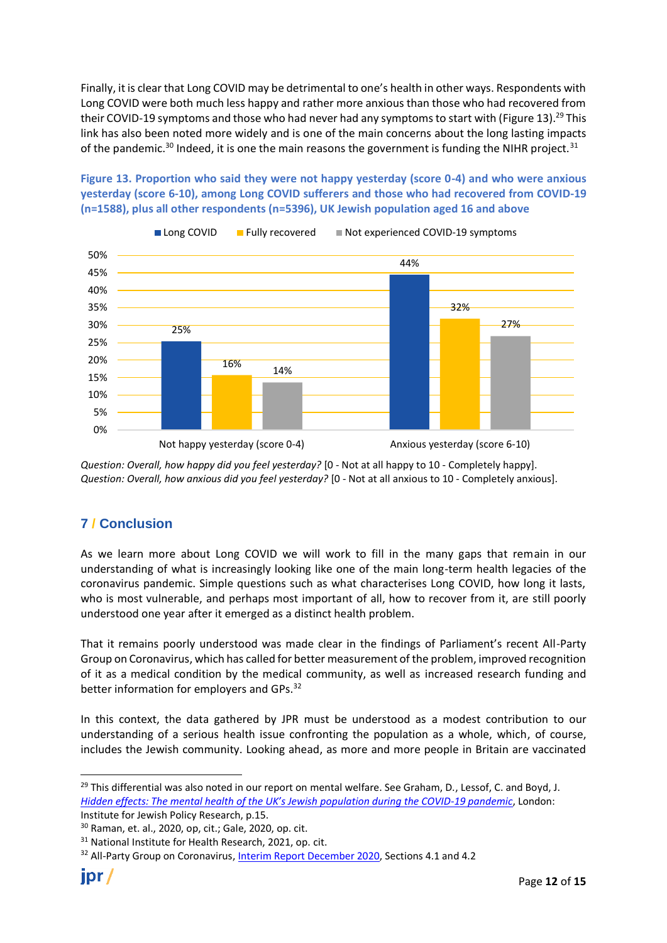Finally, it is clear that Long COVID may be detrimental to one's health in other ways. Respondents with Long COVID were both much less happy and rather more anxious than those who had recovered from their COVID-19 symptoms and those who had never had any symptoms to start with (Figure 13).<sup>29</sup> This link has also been noted more widely and is one of the main concerns about the long lasting impacts of the pandemic.<sup>30</sup> Indeed, it is one the main reasons the government is funding the NIHR project.<sup>31</sup>





*Question: Overall, how happy did you feel yesterday?* [0 - Not at all happy to 10 - Completely happy]. *Question: Overall, how anxious did you feel yesterday?* [0 - Not at all anxious to 10 - Completely anxious].

## **7 / Conclusion**

As we learn more about Long COVID we will work to fill in the many gaps that remain in our understanding of what is increasingly looking like one of the main long-term health legacies of the coronavirus pandemic. Simple questions such as what characterises Long COVID, how long it lasts, who is most vulnerable, and perhaps most important of all, how to recover from it, are still poorly understood one year after it emerged as a distinct health problem.

That it remains poorly understood was made clear in the findings of Parliament's recent All-Party Group on Coronavirus, which has called for better measurement of the problem, improved recognition of it as a medical condition by the medical community, as well as increased research funding and better information for employers and GPs.<sup>32</sup>

In this context, the data gathered by JPR must be understood as a modest contribution to our understanding of a serious health issue confronting the population as a whole, which, of course, includes the Jewish community. Looking ahead, as more and more people in Britain are vaccinated

<sup>&</sup>lt;sup>29</sup> This differential was also noted in our report on mental welfare. See Graham, D., Lessof, C. and Boyd, J. *[Hidden effects: The mental health of the UK's Jewish](https://jpr.org.uk/publication?id=17593) population during the COVID-19 pandemic*, London: Institute for Jewish Policy Research, p.15.

<sup>30</sup> Raman, et. al., 2020, op, cit.; Gale, 2020, op. cit.

<sup>&</sup>lt;sup>31</sup> National Institute for Health Research, 2021, op. cit.

<sup>&</sup>lt;sup>32</sup> All-Party Group on Coronavirus[, Interim Report December 2020,](https://d3n8a8pro7vhmx.cloudfront.net/marchforchange/pages/326/attachments/original/1606989975/APPG_on_Coronavirus_Interim_Report_December_2020__%282%29.pdf?1606989975) Sections 4.1 and 4.2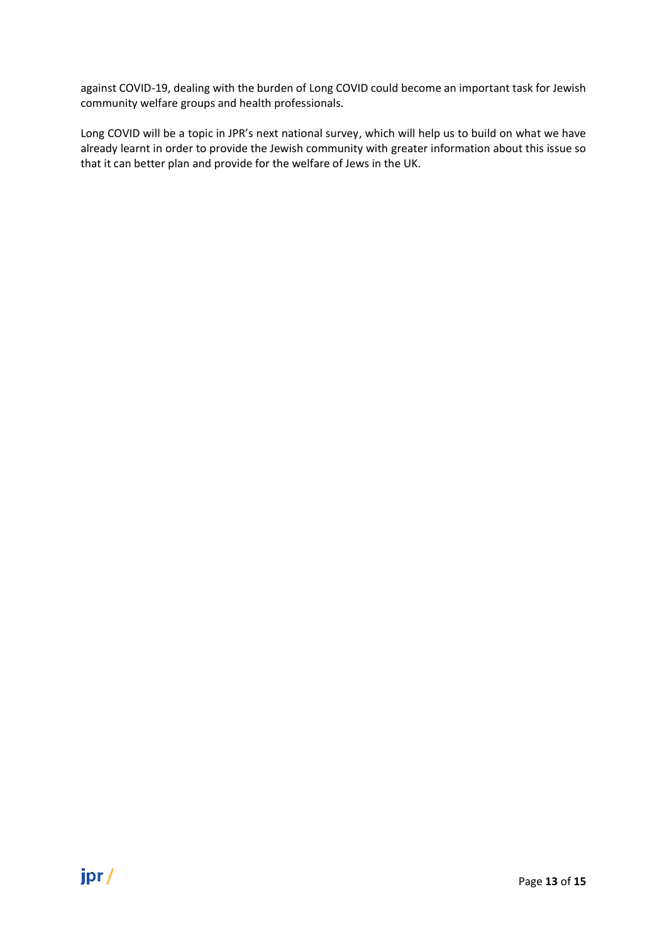against COVID-19, dealing with the burden of Long COVID could become an important task for Jewish community welfare groups and health professionals.

Long COVID will be a topic in JPR's next national survey, which will help us to build on what we have already learnt in order to provide the Jewish community with greater information about this issue so that it can better plan and provide for the welfare of Jews in the UK.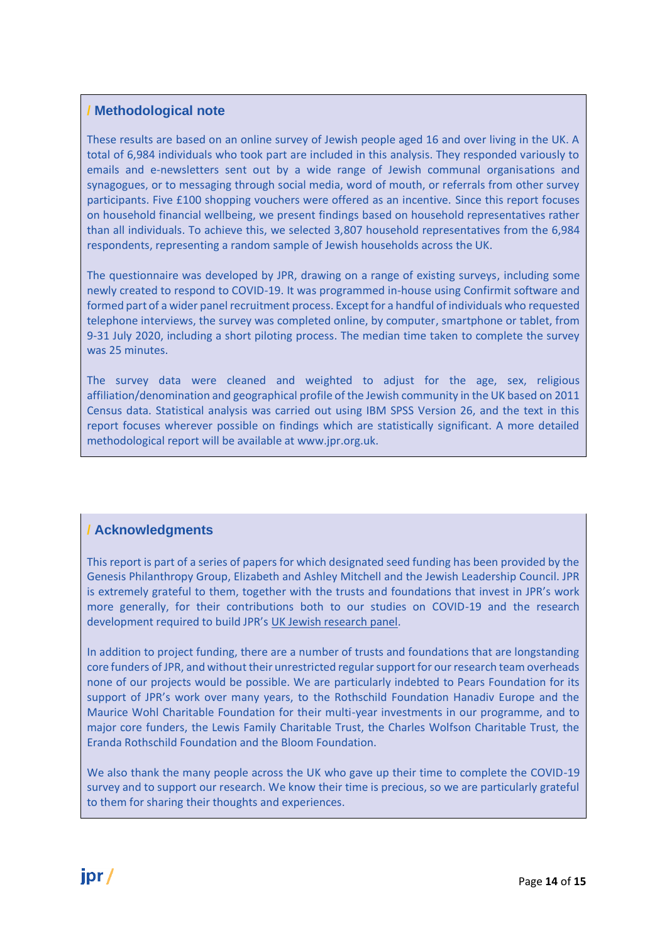#### **/ Methodological note**

These results are based on an online survey of Jewish people aged 16 and over living in the UK. A total of 6,984 individuals who took part are included in this analysis. They responded variously to emails and e-newsletters sent out by a wide range of Jewish communal organisations and synagogues, or to messaging through social media, word of mouth, or referrals from other survey participants. Five £100 shopping vouchers were offered as an incentive. Since this report focuses on household financial wellbeing, we present findings based on household representatives rather than all individuals. To achieve this, we selected 3,807 household representatives from the 6,984 respondents, representing a random sample of Jewish households across the UK.

The questionnaire was developed by JPR, drawing on a range of existing surveys, including some newly created to respond to COVID-19. It was programmed in-house using Confirmit software and formed part of a wider panel recruitment process. Except for a handful of individuals who requested telephone interviews, the survey was completed online, by computer, smartphone or tablet, from 9-31 July 2020, including a short piloting process. The median time taken to complete the survey was 25 minutes.

The survey data were cleaned and weighted to adjust for the age, sex, religious affiliation/denomination and geographical profile of the Jewish community in the UK based on 2011 Census data. Statistical analysis was carried out using IBM SPSS Version 26, and the text in this report focuses wherever possible on findings which are statistically significant. A more detailed methodological report will be available at www.jpr.org.uk.

#### **/ Acknowledgments**

This report is part of a series of papers for which designated seed funding has been provided by the Genesis Philanthropy Group, Elizabeth and Ashley Mitchell and the Jewish Leadership Council. JPR is extremely grateful to them, together with the trusts and foundations that invest in JPR's work more generally, for their contributions both to our studies on COVID-19 and the research development required to build JPR's [UK Jewish research panel.](https://eur01.safelinks.protection.outlook.com/?url=https%3A%2F%2Fwww.jprpanel.org.uk%2Fcommunities%2Fdefault.aspx%3Fp%3Dp442886108620&data=02%7C01%7C%7C904cb10b0b53462570f508d85414497d%7Cf5cc439b22454f0db515289ba6b9c5c0%7C0%7C0%7C637351793389537724&sdata=kiPfHnIvD5yppr3i3lL9IUGl3GQgrm43ksnk9vi6wD8%3D&reserved=0)

In addition to project funding, there are a number of trusts and foundations that are longstanding core funders of JPR, and without their unrestricted regular support for our research team overheads none of our projects would be possible. We are particularly indebted to Pears Foundation for its support of JPR's work over many years, to the Rothschild Foundation Hanadiv Europe and the Maurice Wohl Charitable Foundation for their multi-year investments in our programme, and to major core funders, the Lewis Family Charitable Trust, the Charles Wolfson Charitable Trust, the Eranda Rothschild Foundation and the Bloom Foundation.

We also thank the many people across the UK who gave up their time to complete the COVID-19 survey and to support our research. We know their time is precious, so we are particularly grateful to them for sharing their thoughts and experiences.